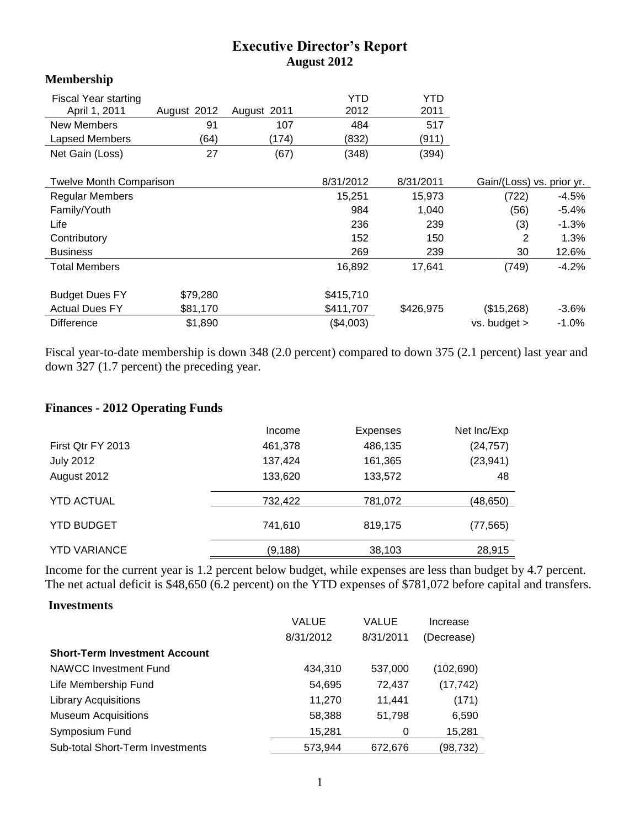## **Executive Director's Report August 2012**

| <b>TATARA DIRE</b>             |             |             |           |           |                           |          |
|--------------------------------|-------------|-------------|-----------|-----------|---------------------------|----------|
| Fiscal Year starting           |             |             | YTD       | YTD       |                           |          |
| April 1, 2011                  | August 2012 | August 2011 | 2012      | 2011      |                           |          |
| New Members                    | 91          | 107         | 484       | 517       |                           |          |
| <b>Lapsed Members</b>          | (64)        | (174)       | (832)     | (911)     |                           |          |
| Net Gain (Loss)                | 27          | (67)        | (348)     | (394)     |                           |          |
| <b>Twelve Month Comparison</b> |             |             | 8/31/2012 | 8/31/2011 | Gain/(Loss) vs. prior yr. |          |
| Regular Members                |             |             | 15,251    | 15,973    | (722)                     | $-4.5\%$ |
| Family/Youth                   |             |             | 984       | 1,040     | (56)                      | $-5.4\%$ |
| Life                           |             |             | 236       | 239       | (3)                       | $-1.3%$  |
| Contributory                   |             |             | 152       | 150       | 2                         | 1.3%     |
| <b>Business</b>                |             |             | 269       | 239       | 30                        | 12.6%    |
| Total Members                  |             |             | 16,892    | 17,641    | (749)                     | $-4.2%$  |
| <b>Budget Dues FY</b>          | \$79,280    |             | \$415,710 |           |                           |          |
| <b>Actual Dues FY</b>          | \$81,170    |             | \$411,707 | \$426,975 | (\$15,268)                | $-3.6%$  |
| <b>Difference</b>              | \$1,890     |             | (\$4,003) |           | $vs.$ budget $>$          | $-1.0%$  |

Fiscal year-to-date membership is down 348 (2.0 percent) compared to down 375 (2.1 percent) last year and down 327 (1.7 percent) the preceding year.

## **Finances - 2012 Operating Funds**

|                     | Income   | <b>Expenses</b> | Net Inc/Exp |
|---------------------|----------|-----------------|-------------|
| First Qtr FY 2013   | 461,378  | 486,135         | (24, 757)   |
| <b>July 2012</b>    | 137,424  | 161,365         | (23, 941)   |
| August 2012         | 133,620  | 133,572         | 48          |
| <b>YTD ACTUAL</b>   | 732,422  | 781,072         | (48,650)    |
| <b>YTD BUDGET</b>   | 741,610  | 819,175         | (77, 565)   |
| <b>YTD VARIANCE</b> | (9, 188) | 38,103          | 28,915      |

Income for the current year is 1.2 percent below budget, while expenses are less than budget by 4.7 percent. The net actual deficit is \$48,650 (6.2 percent) on the YTD expenses of \$781,072 before capital and transfers.

## **Investments**

**Membership**

|                                      | <b>VALUE</b> | VALUE     | Increase   |
|--------------------------------------|--------------|-----------|------------|
|                                      | 8/31/2012    | 8/31/2011 | (Decrease) |
| <b>Short-Term Investment Account</b> |              |           |            |
| NAWCC Investment Fund                | 434,310      | 537,000   | (102, 690) |
| Life Membership Fund                 | 54,695       | 72,437    | (17, 742)  |
| <b>Library Acquisitions</b>          | 11,270       | 11,441    | (171)      |
| <b>Museum Acquisitions</b>           | 58,388       | 51,798    | 6,590      |
| Symposium Fund                       | 15,281       | 0         | 15,281     |
| Sub-total Short-Term Investments     | 573,944      | 672,676   | (98,732)   |